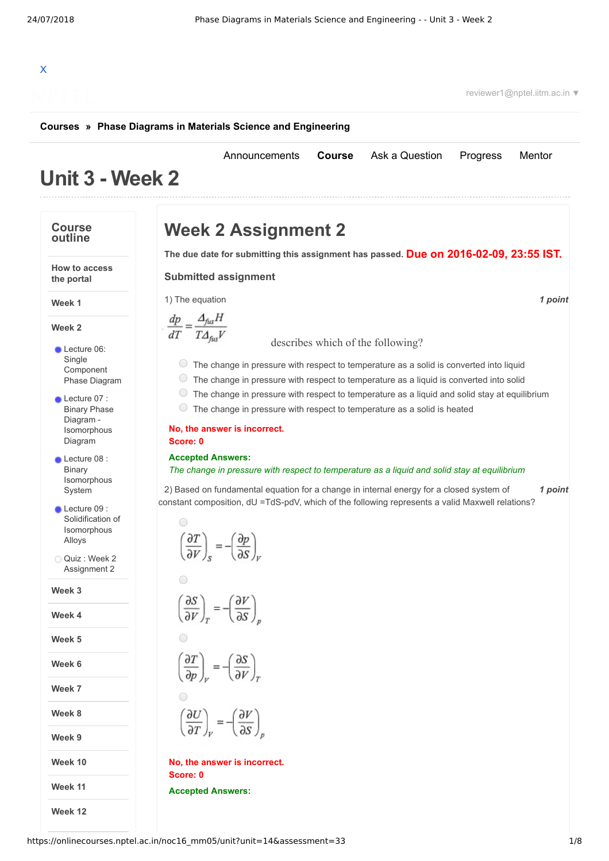[Announcements](https://onlinecourses.nptel.ac.in/noc16_mm05/announcements) **[Course](https://onlinecourses.nptel.ac.in/noc16_mm05/course)** [Ask a Question](https://onlinecourses.nptel.ac.in/noc16_mm05/forum) [Progress](https://onlinecourses.nptel.ac.in/noc16_mm05/student/home) [Mentor](https://onlinecourses.nptel.ac.in/noc16_mm05/student/mentor)

# X

reviewer1@nptel.iitm.ac.in ▼

### **[Courses](https://onlinecourses.nptel.ac.in/) » [Phase Diagrams in Materials Science and Engineering](https://onlinecourses.nptel.ac.in/noc16_mm05/course)**

## **Unit 3 - Week 2**

### **Course Week 2 Assignment 2 outline Due on 2016-02-09, 23:55 IST. The due date for submitting this assignment has passed. How to access Submitted assignment the portal** 1) *1 point* The equation **Week 1**  $\frac{dp}{dT} = \frac{\Delta_{fus}H}{T\Delta_{fus}V}$ **Week 2** [d](https://onlinecourses.nptel.ac.in/noc16_mm05/assets/img/1.jpg)escribes which of the following? Lecture 06: Single  $\circ$  The change in pressure with respect to temperature as a solid is converted into liquid [Component](https://onlinecourses.nptel.ac.in/noc16_mm05/unit?unit=14&lesson=15) The change in pressure with respect to temperature as a liquid is converted into solid Phase Diagram The change in pressure with respect to temperature as a liquid and solid stay at equilibrium Lecture 07 : The change in pressure with respect to temperature as a solid is heated Binary Phase Diagram - [Isomorphous](https://onlinecourses.nptel.ac.in/noc16_mm05/unit?unit=14&lesson=16) **No, the answer is incorrect.** Diagram **Score: 0 Accepted Answers:** Lecture 08 : Binary *The change in pressure with respect to temperature as a liquid and solid stay at equilibrium* [Isomorphous](https://onlinecourses.nptel.ac.in/noc16_mm05/unit?unit=14&lesson=17) System 2) *1 point* Based on fundamental equation for a change in internal energy for a closed system of constant composition, dU =TdS-pdV, which of the following represents a valid Maxwell relations? Lecture 09 : Solidification of [Isomorphous](https://onlinecourses.nptel.ac.in/noc16_mm05/unit?unit=14&lesson=39)  $\left(\frac{\partial T}{\partial V}\right)_{\rm c} = -\left(\frac{\partial p}{\partial S}\right)_{\rm c}$ Alloys Quiz : Week 2 [Assignment](https://onlinecourses.nptel.ac.in/noc16_mm05/assessment?name=33) 2  $\bigcirc$ **Week 3**  $\left(\frac{\partial S}{\partial V}\right)_r = -\left(\frac{\partial V}{\partial S}\right)_r$ **Week 4 Week 5**  $\left(\frac{\partial T}{\partial p}\right)_v = -\left(\frac{\partial S}{\partial V}\right)_x$ **Week 6 Week 7 Week 8**  $\left(\frac{\partial U}{\partial T}\right)_V = -\left(\frac{\partial V}{\partial S}\right)_R$ **Week 9 Week 10 No, the answer is incorrect. Score: 0 Week 11 Accepted Answers:Week 12**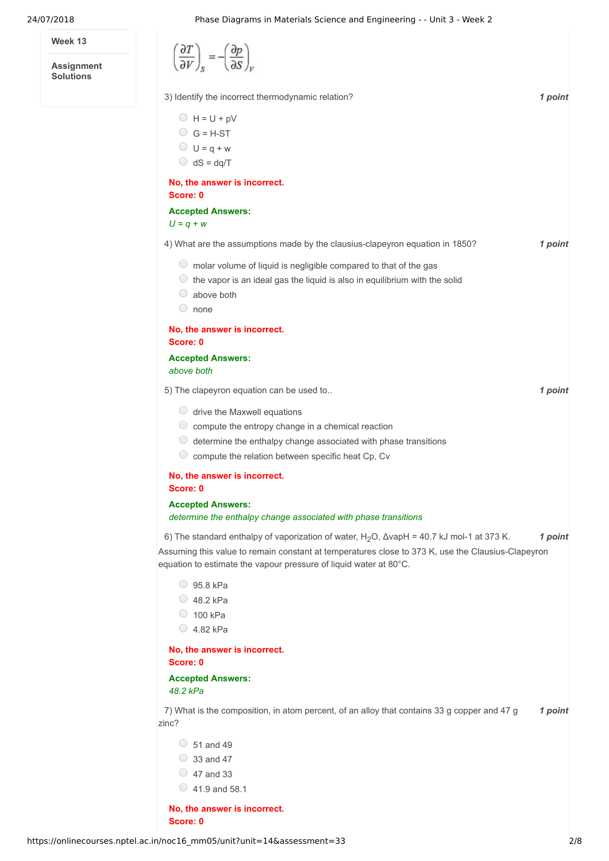**Week 13**

**Assignment Solutions**

| $\left(\frac{\partial T}{\partial V}\right)_{S} = -\left(\frac{\partial p}{\partial S}\right)_{V}$                                                                                                                                          |         |
|---------------------------------------------------------------------------------------------------------------------------------------------------------------------------------------------------------------------------------------------|---------|
| 3) Identify the incorrect thermodynamic relation?                                                                                                                                                                                           | 1 point |
| $H = U + pV$<br>$G = H-ST$<br>$U = q + w$<br>$\bigcirc$ dS = dq/T                                                                                                                                                                           |         |
| No, the answer is incorrect.<br>Score: 0                                                                                                                                                                                                    |         |
| <b>Accepted Answers:</b><br>$U = q + w$                                                                                                                                                                                                     |         |
| 4) What are the assumptions made by the clausius-clapeyron equation in 1850?                                                                                                                                                                | 1 point |
| $\circ$ molar volume of liquid is negligible compared to that of the gas<br>the vapor is an ideal gas the liquid is also in equilibrium with the solid<br>above both<br>$\begin{array}{c} \begin{array}{c} \end{array} \end{array}$<br>none |         |
| No, the answer is incorrect.<br>Score: 0                                                                                                                                                                                                    |         |
| <b>Accepted Answers:</b><br>above both                                                                                                                                                                                                      |         |
| 5) The clapeyron equation can be used to                                                                                                                                                                                                    | 1 point |
| $\circ$ drive the Maxwell equations<br>$\circ$ compute the entropy change in a chemical reaction<br>determine the enthalpy change associated with phase transitions<br>$\cup$<br>compute the relation between specific heat Cp, Cv          |         |
| No, the answer is incorrect.<br>Score: 0                                                                                                                                                                                                    |         |
| <b>Accepted Answers:</b><br>determine the enthalpy change associated with phase transitions                                                                                                                                                 |         |
| 6) The standard enthalpy of vaporization of water, $H_2O$ , $\Delta$ vapH = 40.7 kJ mol-1 at 373 K.                                                                                                                                         | 1 point |
| Assuming this value to remain constant at temperatures close to 373 K, use the Clausius-Clapeyron<br>equation to estimate the vapour pressure of liquid water at 80°C.                                                                      |         |

- 95.8 kPa
- $\bigcirc$  48.2 kPa
- $\circ$  100 kPa
- $\bigcirc$  4.82 kPa

**No, the answer is incorrect. Score: 0**

**Accepted Answers:** *48.2 kPa*

7) What is the composition, in atom percent, of an alloy that contains 33 g copper and 47 g and the other zinc?

- $\circ$  51 and 49
- $\circ$  33 and 47
- $\circ$  47 and 33
- $\circ$  41.9 and 58.1

**No, the answer is incorrect. Score: 0**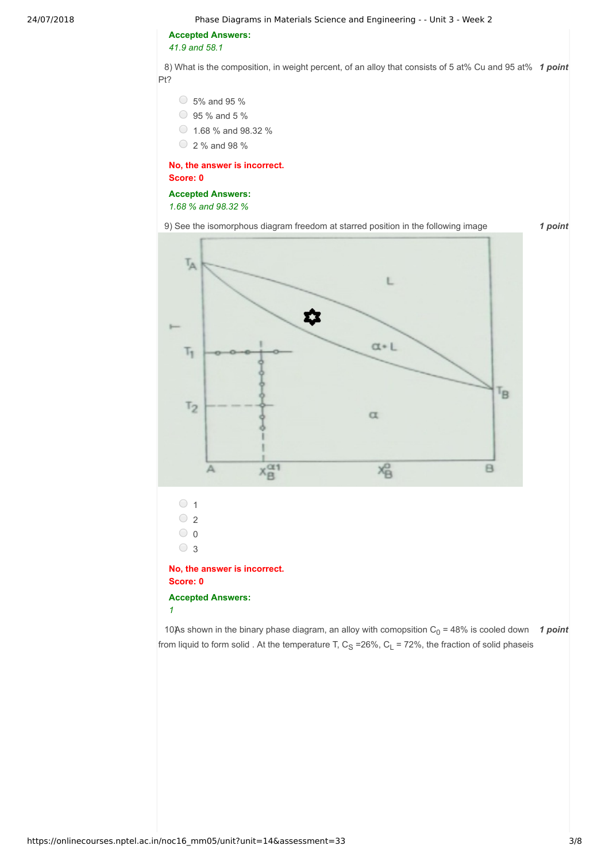24/07/2018 Phase Diagrams in Materials Science and Engineering - - Unit 3 - Week 2

**Accepted Answers:** *41.9 and 58.1*

8) What is the composition, in weight percent, of an alloy that consists of 5 at% Cu and 95 at% 1 point Pt?

 $\circ$  5% and 95 %

- 95 % and 5 %
- $\circ$  1.68 % and 98.32 %
- 2 % and 98 %

**No, the answer is incorrect. Score: 0**

### **Accepted Answers:** *1.68 % and 98.32 %*

9) *1 point* See the isomorphous diagram freedom at starred position in the following image



10) **10** a shown in the binary phase diagram, an alloy with comopsition  $C_0$  = 48% is cooled down **1 point** from liquid to form solid . At the temperature T,  $C_S = 26\%$ ,  $C_L = 72\%$ , the fraction of solid phaseis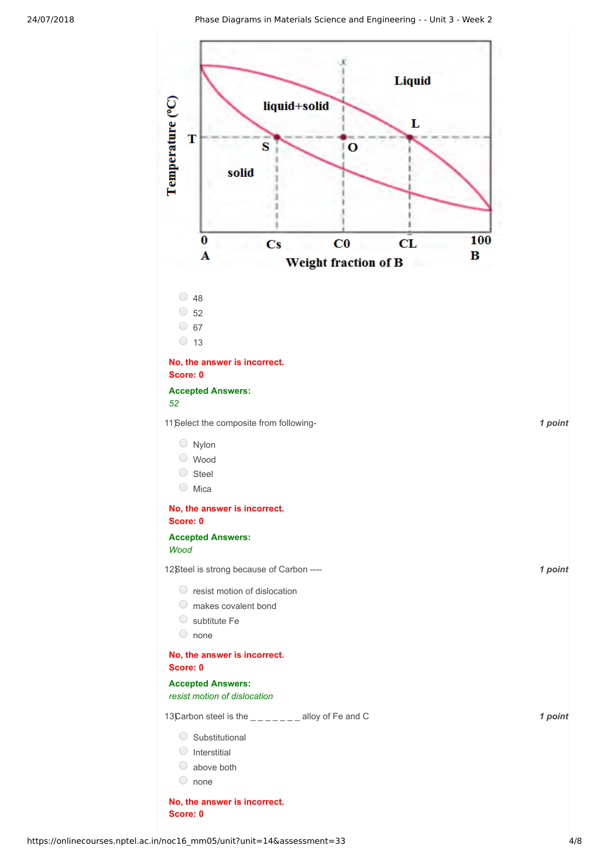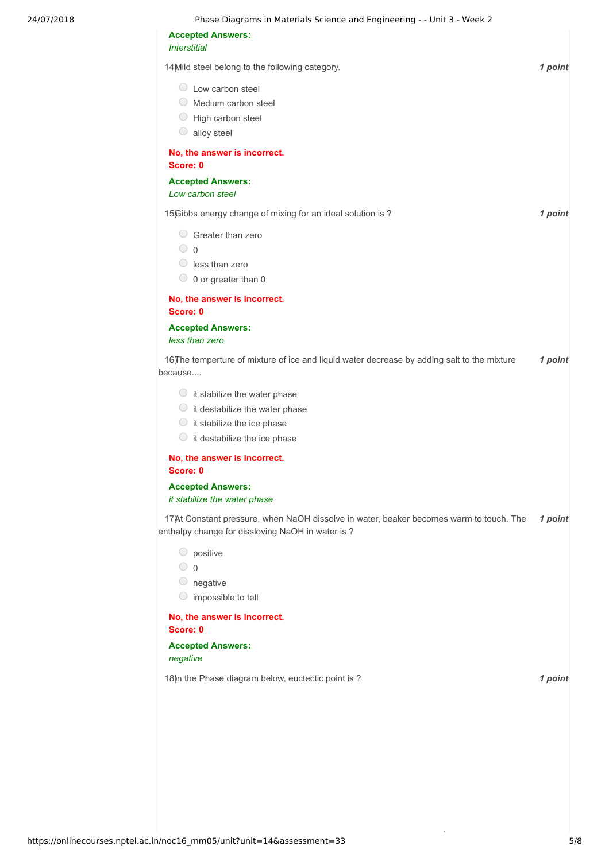| <b>Accepted Answers:</b>                                                                                                                                     |         |
|--------------------------------------------------------------------------------------------------------------------------------------------------------------|---------|
| <b>Interstitial</b>                                                                                                                                          |         |
| 14 Mild steel belong to the following category.                                                                                                              | 1 point |
| $\circ$ Low carbon steel<br>Medium carbon steel<br>$\cup$<br>$\bigcirc$<br>High carbon steel<br>alloy steel<br>$\cup$                                        |         |
| No, the answer is incorrect.<br>Score: 0                                                                                                                     |         |
| <b>Accepted Answers:</b><br>Low carbon steel                                                                                                                 |         |
| 15) Gibbs energy change of mixing for an ideal solution is ?                                                                                                 | 1 point |
| $\circ$ Greater than zero<br>$\circ$ 0<br>$\circ$ less than zero<br>$\circ$ 0 or greater than 0                                                              |         |
| No, the answer is incorrect.                                                                                                                                 |         |
| Score: 0<br><b>Accepted Answers:</b><br>less than zero                                                                                                       |         |
| 16) The temperture of mixture of ice and liquid water decrease by adding salt to the mixture<br>because                                                      | 1 point |
| $\circ$ it stabilize the water phase<br>$\circ$ it destabilize the water phase<br>$\circ$ it stabilize the ice phase<br>$\circ$ it destabilize the ice phase |         |
| No, the answer is incorrect.<br>Score: 0                                                                                                                     |         |
| <b>Accepted Answers:</b><br>it stabilize the water phase                                                                                                     |         |
| 17)At Constant pressure, when NaOH dissolve in water, beaker becomes warm to touch. The<br>enthalpy change for dissloving NaOH in water is ?                 | 1 point |
| $\circ$ positive<br>$\circ$ 0<br>$\circ$ negative<br>$\circ$ impossible to tell                                                                              |         |
| No, the answer is incorrect.<br>Score: 0                                                                                                                     |         |
| <b>Accepted Answers:</b>                                                                                                                                     |         |
| negative                                                                                                                                                     |         |

Ŷ,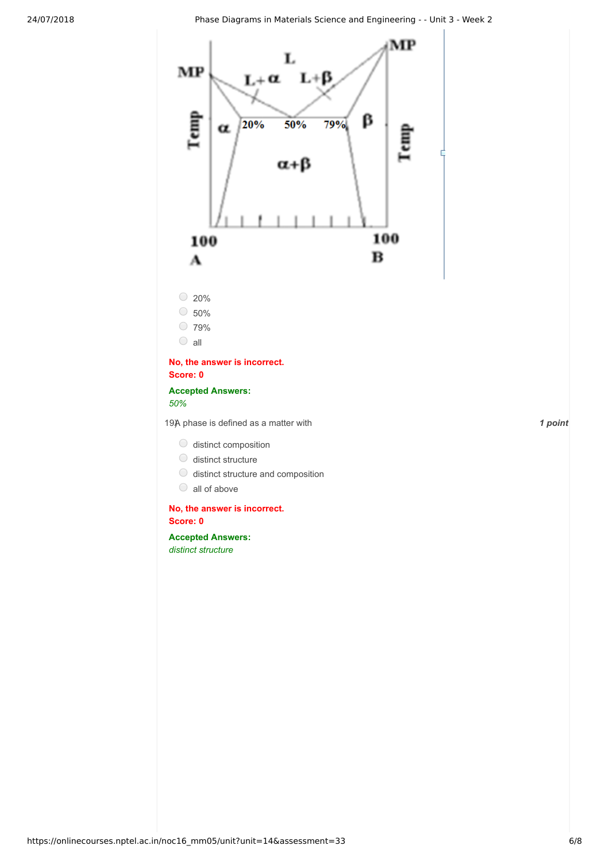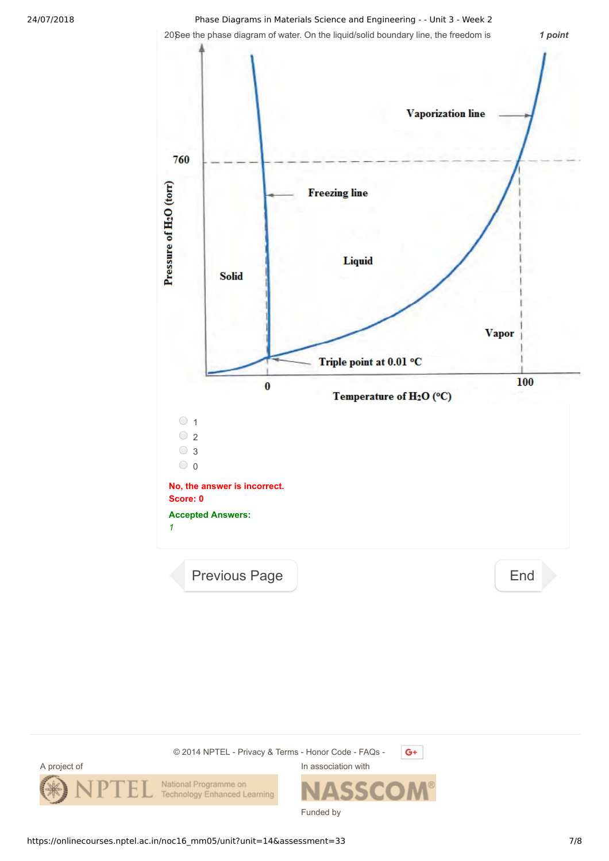